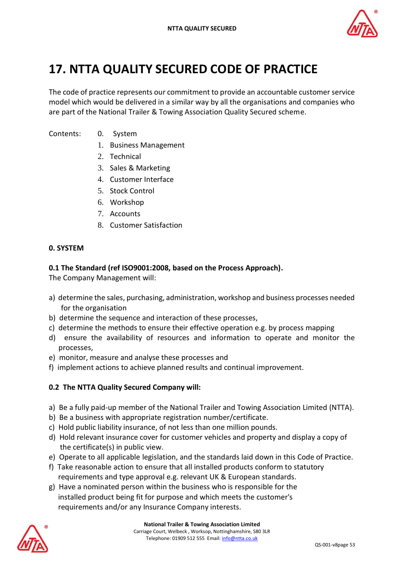

# **17. NTTA QUALITY SECURED CODE OF PRACTICE**

The code of practice represents our commitment to provide an accountable customer service model which would be delivered in a similar way by all the organisations and companies who are part of the National Trailer & Towing Association Quality Secured scheme.

Contents: 0. System

- - 1. Business Management
	- 2. Technical
	- 3. Sales & Marketing
	- 4. Customer Interface
	- 5. Stock Control
	- 6. Workshop
	- 7. Accounts
	- 8. Customer Satisfaction

#### **0. SYSTEM**

#### **0.1 The Standard (ref ISO9001:2008, based on the Process Approach).**

The Company Management will:

- a) determine the sales, purchasing, administration, workshop and business processes needed for the organisation
- b) determine the sequence and interaction of these processes,
- c) determine the methods to ensure their effective operation e.g. by process mapping
- d) ensure the availability of resources and information to operate and monitor the processes,
- e) monitor, measure and analyse these processes and
- f) implement actions to achieve planned results and continual improvement.

#### **0.2 The NTTA Quality Secured Company will:**

- a) Be a fully paid-up member of the National Trailer and Towing Association Limited (NTTA).
- b) Be a business with appropriate registration number/certificate.
- c) Hold public liability insurance, of not less than one million pounds.
- d) Hold relevant insurance cover for customer vehicles and property and display a copy of the certificate(s) in public view.
- e) Operate to all applicable legislation, and the standards laid down in this Code of Practice.
- f) Take reasonable action to ensure that all installed products conform to statutory requirements and type approval e.g. relevant UK & European standards.
- g) Have a nominated person within the business who is responsible for the installed product being fit for purpose and which meets the customer's requirements and/or any Insurance Company interests.

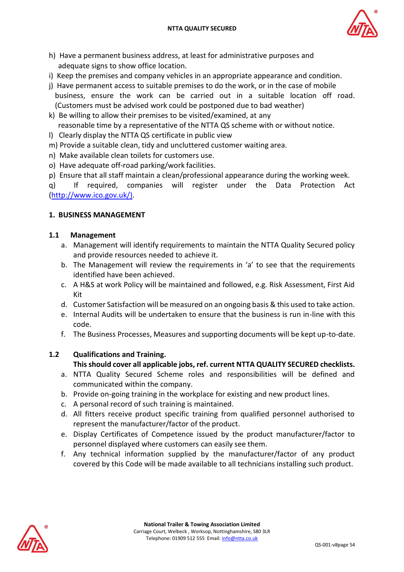

- h) Have a permanent business address, at least for administrative purposes and adequate signs to show office location.
- i) Keep the premises and company vehicles in an appropriate appearance and condition.
- j) Have permanent access to suitable premises to do the work, or in the case of mobile business, ensure the work can be carried out in a suitable location off road. (Customers must be advised work could be postponed due to bad weather)
- k) Be willing to allow their premises to be visited/examined, at any reasonable time by a representative of the NTTA QS scheme with or without notice.
- l) Clearly display the NTTA QS certificate in public view
- m) Provide a suitable clean, tidy and uncluttered customer waiting area.
- n) Make available clean toilets for customers use.
- o) Have adequate off-road parking/work facilities.
- p) Ensure that all staff maintain a clean/professional appearance during the working week.

q) If required, companies will register under the Data Protection Act [\(http://www.ico.gov.uk/\)](http://www.ico.gov.uk/).

# **1. BUSINESS MANAGEMENT**

#### **1.1 Management**

- a. Management will identify requirements to maintain the NTTA Quality Secured policy and provide resources needed to achieve it.
- b. The Management will review the requirements in 'a' to see that the requirements identified have been achieved.
- c. A H&S at work Policy will be maintained and followed, e.g. Risk Assessment, First Aid Kit
- d. Customer Satisfaction will be measured on an ongoing basis & this used to take action.
- e. Internal Audits will be undertaken to ensure that the business is run in-line with this code.
- f. The Business Processes, Measures and supporting documents will be kept up-to-date.

# **1.2 Qualifications and Training.**

# **This should cover all applicable jobs, ref. current NTTA QUALITY SECURED checklists.**

- a. NTTA Quality Secured Scheme roles and responsibilities will be defined and communicated within the company.
- b. Provide on-going training in the workplace for existing and new product lines.
- c. A personal record of such training is maintained.
- d. All fitters receive product specific training from qualified personnel authorised to represent the manufacturer/factor of the product.
- e. Display Certificates of Competence issued by the product manufacturer/factor to personnel displayed where customers can easily see them.
- f. Any technical information supplied by the manufacturer/factor of any product covered by this Code will be made available to all technicians installing such product.

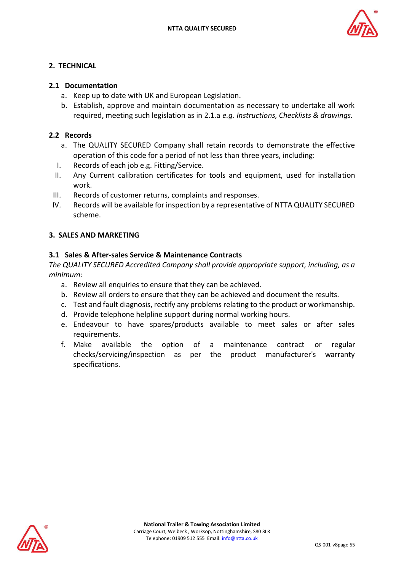

# **2. TECHNICAL**

### **2.1 Documentation**

- a. Keep up to date with UK and European Legislation.
- b. Establish, approve and maintain documentation as necessary to undertake all work required, meeting such legislation as in 2.1.a *e.g. Instructions, Checklists & drawings.*

# **2.2 Records**

- a. The QUALITY SECURED Company shall retain records to demonstrate the effective operation of this code for a period of not less than three years, including:
- I. Records of each job e.g. Fitting/Service.
- II. Any Current calibration certificates for tools and equipment, used for installation work.
- III. Records of customer returns, complaints and responses.
- IV. Records will be available for inspection by a representative of NTTA QUALITY SECURED scheme.

# **3. SALES AND MARKETING**

# **3.1 Sales & After-sales Service & Maintenance Contracts**

*The QUALITY SECURED Accredited Company shall provide appropriate support, including, as a minimum:*

- a. Review all enquiries to ensure that they can be achieved.
- b. Review all orders to ensure that they can be achieved and document the results.
- c. Test and fault diagnosis, rectify any problems relating to the product or workmanship.
- d. Provide telephone helpline support during normal working hours.
- e. Endeavour to have spares/products available to meet sales or after sales requirements.
- f. Make available the option of a maintenance contract or regular checks/servicing/inspection as per the product manufacturer's warranty specifications.

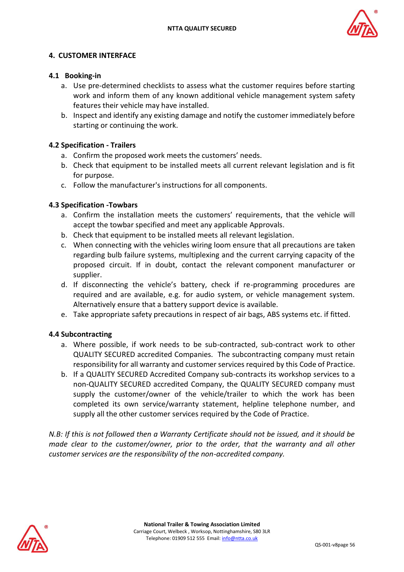

# **4. CUSTOMER INTERFACE**

#### **4.1 Booking-in**

- a. Use pre-determined checklists to assess what the customer requires before starting work and inform them of any known additional vehicle management system safety features their vehicle may have installed.
- b. Inspect and identify any existing damage and notify the customer immediately before starting or continuing the work.

# **4.2 Specification - Trailers**

- a. Confirm the proposed work meets the customers' needs.
- b. Check that equipment to be installed meets all current relevant legislation and is fit for purpose.
- c. Follow the manufacturer's instructions for all components.

#### **4.3 Specification -Towbars**

- a. Confirm the installation meets the customers' requirements, that the vehicle will accept the towbar specified and meet any applicable Approvals.
- b. Check that equipment to be installed meets all relevant legislation.
- c. When connecting with the vehicles wiring loom ensure that all precautions are taken regarding bulb failure systems, multiplexing and the current carrying capacity of the proposed circuit. If in doubt, contact the relevant component manufacturer or supplier.
- d. If disconnecting the vehicle's battery, check if re-programming procedures are required and are available, e.g. for audio system, or vehicle management system. Alternatively ensure that a battery support device is available.
- e. Take appropriate safety precautions in respect of air bags, ABS systems etc. if fitted.

#### **4.4 Subcontracting**

- a. Where possible, if work needs to be sub-contracted, sub-contract work to other QUALITY SECURED accredited Companies. The subcontracting company must retain responsibility for all warranty and customer services required by this Code of Practice.
- b. If a QUALITY SECURED Accredited Company sub-contracts its workshop services to a non-QUALITY SECURED accredited Company, the QUALITY SECURED company must supply the customer/owner of the vehicle/trailer to which the work has been completed its own service/warranty statement, helpline telephone number, and supply all the other customer services required by the Code of Practice.

*N.B: If this is not followed then a Warranty Certificate should not be issued, and it should be made clear to the customer/owner, prior to the order, that the warranty and all other customer services are the responsibility of the non-accredited company.*

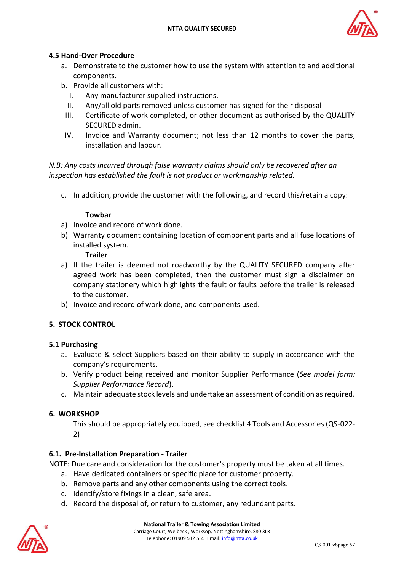

# **4.5 Hand-Over Procedure**

- a. Demonstrate to the customer how to use the system with attention to and additional components.
- b. Provide all customers with:
	- I. Any manufacturer supplied instructions.
	- II. Any/all old parts removed unless customer has signed for their disposal
	- III. Certificate of work completed, or other document as authorised by the QUALITY SECURED admin.
- IV. Invoice and Warranty document; not less than 12 months to cover the parts, installation and labour.

*N.B: Any costs incurred through false warranty claims should only be recovered after an inspection has established the fault is not product or workmanship related.*

c. In addition, provide the customer with the following, and record this/retain a copy:

#### **Towbar**

- a) Invoice and record of work done.
- b) Warranty document containing location of component parts and all fuse locations of installed system.

#### **Trailer**

- a) If the trailer is deemed not roadworthy by the QUALITY SECURED company after agreed work has been completed, then the customer must sign a disclaimer on company stationery which highlights the fault or faults before the trailer is released to the customer.
- b) Invoice and record of work done, and components used.

#### **5. STOCK CONTROL**

#### **5.1 Purchasing**

- a. Evaluate & select Suppliers based on their ability to supply in accordance with the company's requirements.
- b. Verify product being received and monitor Supplier Performance (*See model form: Supplier Performance Record*).
- c. Maintain adequate stock levels and undertake an assessment of condition as required.

#### **6. WORKSHOP**

This should be appropriately equipped, see checklist 4 Tools and Accessories (QS-022- 2)

#### **6.1. Pre-Installation Preparation - Trailer**

NOTE: Due care and consideration for the customer's property must be taken at all times.

- a. Have dedicated containers or specific place for customer property.
- b. Remove parts and any other components using the correct tools.
- c. Identify/store fixings in a clean, safe area.
- d. Record the disposal of, or return to customer, any redundant parts.

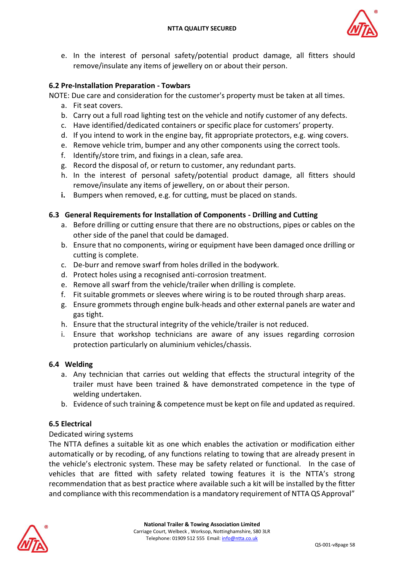

e. In the interest of personal safety/potential product damage, all fitters should remove/insulate any items of jewellery on or about their person.

# **6.2 Pre-Installation Preparation - Towbars**

NOTE: Due care and consideration for the customer's property must be taken at all times.

- a. Fit seat covers.
- b. Carry out a full road lighting test on the vehicle and notify customer of any defects.
- c. Have identified/dedicated containers or specific place for customers' property.
- d. If you intend to work in the engine bay, fit appropriate protectors, e.g. wing covers.
- e. Remove vehicle trim, bumper and any other components using the correct tools.
- f. Identify/store trim, and fixings in a clean, safe area.
- g. Record the disposal of, or return to customer, any redundant parts.
- h. In the interest of personal safety/potential product damage, all fitters should remove/insulate any items of jewellery, on or about their person.
- **i.** Bumpers when removed, e.g. for cutting, must be placed on stands.

# **6.3 General Requirements for Installation of Components - Drilling and Cutting**

- a. Before drilling or cutting ensure that there are no obstructions, pipes or cables on the other side of the panel that could be damaged.
- b. Ensure that no components, wiring or equipment have been damaged once drilling or cutting is complete.
- c. De-burr and remove swarf from holes drilled in the bodywork.
- d. Protect holes using a recognised anti-corrosion treatment.
- e. Remove all swarf from the vehicle/trailer when drilling is complete.
- f. Fit suitable grommets or sleeves where wiring is to be routed through sharp areas.
- g. Ensure grommets through engine bulk-heads and other external panels are water and gas tight.
- h. Ensure that the structural integrity of the vehicle/trailer is not reduced.
- i. Ensure that workshop technicians are aware of any issues regarding corrosion protection particularly on aluminium vehicles/chassis.

#### **6.4 Welding**

- a. Any technician that carries out welding that effects the structural integrity of the trailer must have been trained & have demonstrated competence in the type of welding undertaken.
- b. Evidence of such training & competence must be kept on file and updated as required.

#### **6.5 Electrical**

#### Dedicated wiring systems

The NTTA defines a suitable kit as one which enables the activation or modification either automatically or by recoding, of any functions relating to towing that are already present in the vehicle's electronic system. These may be safety related or functional. In the case of vehicles that are fitted with safety related towing features it is the NTTA's strong recommendation that as best practice where available such a kit will be installed by the fitter and compliance with this recommendation is a mandatory requirement of NTTA QS Approval"

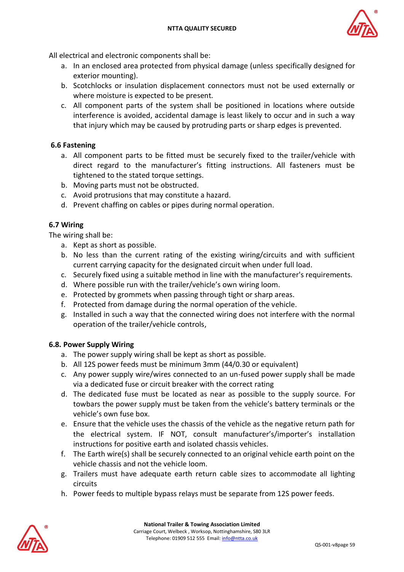

All electrical and electronic components shall be:

- a. In an enclosed area protected from physical damage (unless specifically designed for exterior mounting).
- b. Scotchlocks or insulation displacement connectors must not be used externally or where moisture is expected to be present.
- c. All component parts of the system shall be positioned in locations where outside interference is avoided, accidental damage is least likely to occur and in such a way that injury which may be caused by protruding parts or sharp edges is prevented.

# **6.6 Fastening**

- a. All component parts to be fitted must be securely fixed to the trailer/vehicle with direct regard to the manufacturer's fitting instructions. All fasteners must be tightened to the stated torque settings.
- b. Moving parts must not be obstructed.
- c. Avoid protrusions that may constitute a hazard.
- d. Prevent chaffing on cables or pipes during normal operation.

#### **6.7 Wiring**

The wiring shall be:

- a. Kept as short as possible.
- b. No less than the current rating of the existing wiring/circuits and with sufficient current carrying capacity for the designated circuit when under full load.
- c. Securely fixed using a suitable method in line with the manufacturer's requirements.
- d. Where possible run with the trailer/vehicle's own wiring loom.
- e. Protected by grommets when passing through tight or sharp areas.
- f. Protected from damage during the normal operation of the vehicle.
- g. Installed in such a way that the connected wiring does not interfere with the normal operation of the trailer/vehicle controls,

#### **6.8. Power Supply Wiring**

- a. The power supply wiring shall be kept as short as possible.
- b. All 12S power feeds must be minimum 3mm (44/0.30 or equivalent)
- c. Any power supply wire/wires connected to an un-fused power supply shall be made via a dedicated fuse or circuit breaker with the correct rating
- d. The dedicated fuse must be located as near as possible to the supply source. For towbars the power supply must be taken from the vehicle's battery terminals or the vehicle's own fuse box.
- e. Ensure that the vehicle uses the chassis of the vehicle as the negative return path for the electrical system. IF NOT, consult manufacturer's/importer's installation instructions for positive earth and isolated chassis vehicles.
- f. The Earth wire(s) shall be securely connected to an original vehicle earth point on the vehicle chassis and not the vehicle loom.
- g. Trailers must have adequate earth return cable sizes to accommodate all lighting circuits
- h. Power feeds to multiple bypass relays must be separate from 12S power feeds.

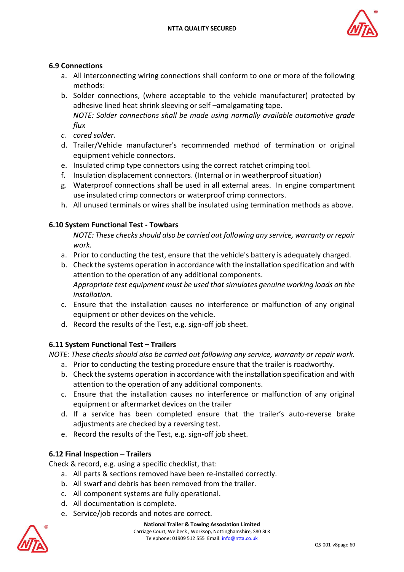

# **6.9 Connections**

- a. All interconnecting wiring connections shall conform to one or more of the following methods:
- b. Solder connections, (where acceptable to the vehicle manufacturer) protected by adhesive lined heat shrink sleeving or self –amalgamating tape. *NOTE: Solder connections shall be made using normally available automotive grade flux*
- *c. cored solder.*
- d. Trailer/Vehicle manufacturer's recommended method of termination or original equipment vehicle connectors.
- e. Insulated crimp type connectors using the correct ratchet crimping tool.
- f. Insulation displacement connectors. (Internal or in weatherproof situation)
- g. Waterproof connections shall be used in all external areas. In engine compartment use insulated crimp connectors or waterproof crimp connectors.
- h. All unused terminals or wires shall be insulated using termination methods as above.

#### **6.10 System Functional Test - Towbars**

*NOTE: These checks should also be carried out following any service, warranty or repair work.*

- a. Prior to conducting the test, ensure that the vehicle's battery is adequately charged.
- b. Check the systems operation in accordance with the installation specification and with attention to the operation of any additional components. *Appropriate test equipment must be used that simulates genuine working loads on the installation.*
- c. Ensure that the installation causes no interference or malfunction of any original equipment or other devices on the vehicle.
- d. Record the results of the Test, e.g. sign-off job sheet.

# **6.11 System Functional Test – Trailers**

*NOTE: These checks should also be carried out following any service, warranty or repair work.*

- a. Prior to conducting the testing procedure ensure that the trailer is roadworthy.
- b. Check the systems operation in accordance with the installation specification and with attention to the operation of any additional components.
- c. Ensure that the installation causes no interference or malfunction of any original equipment or aftermarket devices on the trailer
- d. If a service has been completed ensure that the trailer's auto-reverse brake adjustments are checked by a reversing test.
- e. Record the results of the Test, e.g. sign-off job sheet.

# **6.12 Final Inspection – Trailers**

Check & record, e.g. using a specific checklist, that:

- a. All parts & sections removed have been re-installed correctly.
- b. All swarf and debris has been removed from the trailer.
- c. All component systems are fully operational.
- d. All documentation is complete.
- e. Service/job records and notes are correct.